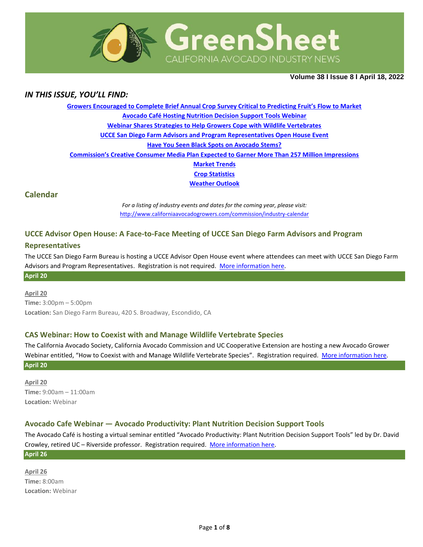

**Volume 38 Ι Issue 8 Ι April 18, 2022**

## *IN THIS ISSUE, YOU'LL FIND:*

**[Growers Encouraged to Complete Brief Annual Crop Survey Critical to Predicting Fruit's Flow to Market](#page-1-0) [Avocado Café Hosting Nutrition Decision Support Tools Webinar](#page-1-1) [Webinar Shares Strategies to Help Growers Cope with Wildlife Vertebrates](#page-1-2) [UCCE San Diego Farm Advisors and Program Representatives Open House Event](#page-2-0) [Have You Seen Black Spots on Avocado Stems?](#page-2-1) [Commission's Creative Consumer Media Plan Expected to Garner More Than 257 Million Impressions](#page-3-0) [Market](#page-4-0) Trends Crop [Statistics](#page-5-0) [Weather Outlook](#page-5-1)**

### **Calendar**

*For a listing of industry events and dates for the coming year, please visit:*  <http://www.californiaavocadogrowers.com/commission/industry-calendar>

### **UCCE Advisor Open House: A Face-to-Face Meeting of UCCE San Diego Farm Advisors and Program**

#### **Representatives**

The UCCE San Diego Farm Bureau is hosting a UCCE Advisor Open House event where attendees can meet with UCCE San Diego Farm Advisors and Program Representatives. Registration is not required. [More information](https://www.californiaavocadogrowers.com/event/ucce-advisor-open-house-face-face-meeting-ucce-san-diego-farm-advisors-and-program) here. **April 20**

# **April 20**

**Time:** 3:00pm – 5:00pm **Location:** San Diego Farm Bureau, 420 S. Broadway, Escondido, CA

#### **CAS Webinar: How to Coexist with and Manage Wildlife Vertebrate Species**

The California Avocado Society, California Avocado Commission and UC Cooperative Extension are hosting a new Avocado Grower Webinar entitled, "How to Coexist with and Manage Wildlife Vertebrate Species". Registration required. [More information](https://www.californiaavocadogrowers.com/event/cas-webinar-how-coexist-and-manage-wildlife-vertebrate-species) here. **April 20**

**April 20 Time:** 9:00am – 11:00am **Location:** Webinar

### **Avocado Cafe Webinar — Avocado Productivity: Plant Nutrition Decision Support Tools**

The Avocado Café is hosting a virtual seminar entitled "Avocado Productivity: Plant Nutrition Decision Support Tools" led by Dr. David Crowley, retired UC - Riverside professor. Registration required. [More information](https://www.californiaavocadogrowers.com/event/avocado-cafe-webinar-%E2%80%94%C2%A0avocado-productivity-plant-nutrition-decision-support-tools) here.

#### **April 26**

**April 26 Time:** 8:00am **Location:** Webinar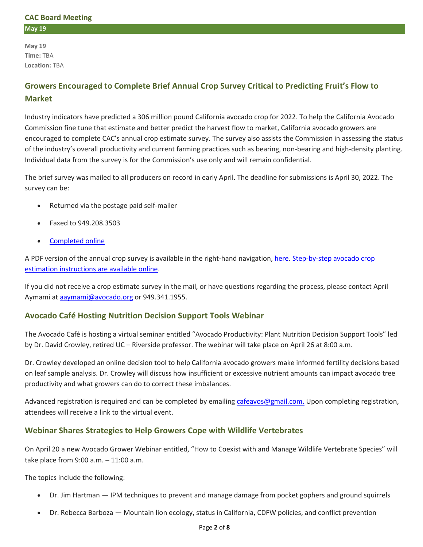### **CAC Board Meeting May 19**

**May 19 Time:** TBA **Location:** TBA

# <span id="page-1-0"></span>**Growers Encouraged to Complete Brief Annual Crop Survey Critical to Predicting Fruit's Flow to Market**

Industry indicators have predicted a 306 million pound California avocado crop for 2022. To help the California Avocado Commission fine tune that estimate and better predict the harvest flow to market, California avocado growers are encouraged to complete CAC's annual crop estimate survey. The survey also assists the Commission in assessing the status of the industry's overall productivity and current farming practices such as bearing, non-bearing and high-density planting. Individual data from the survey is for the Commission's use only and will remain confidential.

The brief survey was mailed to all producers on record in early April. The deadline for submissions is April 30, 2022. The survey can be:

- Returned via the postage paid self-mailer
- Faxed to 949.208.3503
- [Completed online](http://californiaavocadogrowers.com/industry/crop-projections-and-estimates/crop-estimate-form)

A PDF version of the annual crop survey is available in the right-hand navigation[, here.](https://www.californiaavocadogrowers.com/articles/growers-encouraged-complete-brief-annual-crop-survey-critical-predicting-fruits-flow) Step-by-step avocado crop [estimation instructions are available online.](https://www.californiaavocadogrowers.com/industry/crop-statistics/crop-estimation-instructions)

If you did not receive a crop estimate survey in the mail, or have questions regarding the process, please contact April Aymami at [aaymami@avocado.org](mailto:aaymami@avocado.org) or 949.341.1955.

## <span id="page-1-1"></span>**Avocado Café Hosting Nutrition Decision Support Tools Webinar**

The Avocado Café is hosting a virtual seminar entitled "Avocado Productivity: Plant Nutrition Decision Support Tools" led by Dr. David Crowley, retired UC – Riverside professor. The webinar will take place on April 26 at 8:00 a.m.

Dr. Crowley developed an online decision tool to help California avocado growers make informed fertility decisions based on leaf sample analysis. Dr. Crowley will discuss how insufficient or excessive nutrient amounts can impact avocado tree productivity and what growers can do to correct these imbalances.

Advanced registration is required and can be completed by emailin[g cafeavos@gmail.com.](mailto:cafeavos@gmail.com.) Upon completing registration, attendees will receive a link to the virtual event.

## <span id="page-1-2"></span>**Webinar Shares Strategies to Help Growers Cope with Wildlife Vertebrates**

On April 20 a new Avocado Grower Webinar entitled, "How to Coexist with and Manage Wildlife Vertebrate Species" will take place from 9:00 a.m. – 11:00 a.m.

The topics include the following:

- Dr. Jim Hartman IPM techniques to prevent and manage damage from pocket gophers and ground squirrels
- Dr. Rebecca Barboza Mountain lion ecology, status in California, CDFW policies, and conflict prevention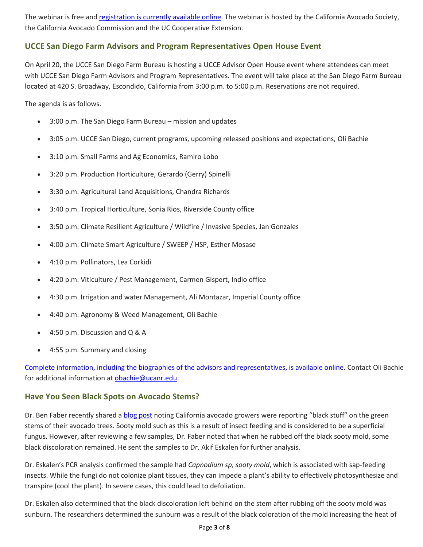The webinar is free an[d registration is currently available online.](https://us02web.zoom.us/webinar/register/4716492786634/WN_HUdmWF9uRUewjlc4K-iZvA) The webinar is hosted by the California Avocado Society, the California Avocado Commission and the UC Cooperative Extension.

# <span id="page-2-0"></span>**UCCE San Diego Farm Advisors and Program Representatives Open House Event**

On April 20, the UCCE San Diego Farm Bureau is hosting a UCCE Advisor Open House event where attendees can meet with UCCE San Diego Farm Advisors and Program Representatives. The event will take place at the San Diego Farm Bureau located at 420 S. Broadway, Escondido, California from 3:00 p.m. to 5:00 p.m. Reservations are not required.

The agenda is as follows.

- 3:00 p.m. The San Diego Farm Bureau mission and updates
- 3:05 p.m. UCCE San Diego, current programs, upcoming released positions and expectations, Oli Bachie
- 3:10 p.m. Small Farms and Ag Economics, Ramiro Lobo
- 3:20 p.m. Production Horticulture, Gerardo (Gerry) Spinelli
- 3:30 p.m. Agricultural Land Acquisitions, Chandra Richards
- 3:40 p.m. Tropical Horticulture, Sonia Rios, Riverside County office
- 3:50 p.m. Climate Resilient Agriculture / Wildfire / Invasive Species, Jan Gonzales
- 4:00 p.m. Climate Smart Agriculture / SWEEP / HSP, Esther Mosase
- 4:10 p.m. Pollinators, Lea Corkidi
- 4:20 p.m. Viticulture / Pest Management, Carmen Gispert, Indio office
- 4:30 p.m. Irrigation and water Management, Ali Montazar, Imperial County office
- 4:40 p.m. Agronomy & Weed Management, Oli Bachie
- 4:50 p.m. Discussion and Q & A
- 4:55 p.m. Summary and closing

[Complete information, including the biographies of the advisors and representatives, is available online.](https://files.ctctusercontent.com/e4686383101/ffae573b-aa42-4fb8-8051-0f1b469567ee.pdf?rdr=true) Contact Oli Bachie for additional information at [obachie@ucanr.edu.](mailto:obachie@ucanr.edu)

## <span id="page-2-1"></span>**Have You Seen Black Spots on Avocado Stems?**

Dr. Ben Faber recently shared a [blog post](https://ucanr.edu/blogs/blogcore/postdetail.cfm?postnum=51824) noting California avocado growers were reporting "black stuff" on the green stems of their avocado trees. Sooty mold such as this is a result of insect feeding and is considered to be a superficial fungus. However, after reviewing a few samples, Dr. Faber noted that when he rubbed off the black sooty mold, some black discoloration remained. He sent the samples to Dr. Akif Eskalen for further analysis.

Dr. Eskalen's PCR analysis confirmed the sample had *Capnodium sp, sooty mold*, which is associated with sap-feeding insects. While the fungi do not colonize plant tissues, they can impede a plant's ability to effectively photosynthesize and transpire (cool the plant). In severe cases, this could lead to defoliation.

Dr. Eskalen also determined that the black discoloration left behind on the stem after rubbing off the sooty mold was sunburn. The researchers determined the sunburn was a result of the black coloration of the mold increasing the heat of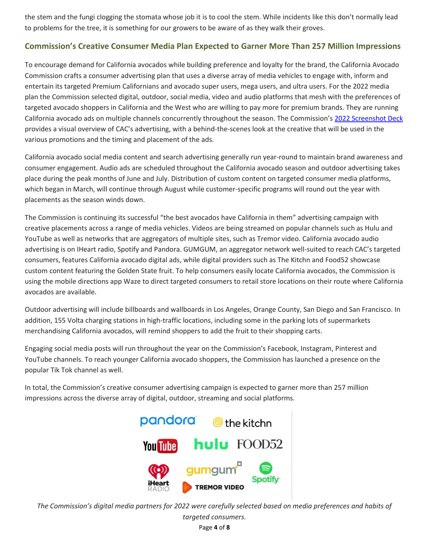the stem and the fungi clogging the stomata whose job it is to cool the stem. While incidents like this don't normally lead to problems for the tree, it is something for our growers to be aware of as they walk their groves.

## <span id="page-3-0"></span>**Commission's Creative Consumer Media Plan Expected to Garner More Than 257 Million Impressions**

To encourage demand for California avocados while building preference and loyalty for the brand, the California Avocado Commission crafts a consumer advertising plan that uses a diverse array of media vehicles to engage with, inform and entertain its targeted Premium Californians and avocado super users, mega users, and ultra users. For the 2022 media plan the Commission selected digital, outdoor, social media, video and audio platforms that mesh with the preferences of targeted avocado shoppers in California and the West who are willing to pay more for premium brands. They are running California avocado ads on multiple channels concurrently throughout the season. The Commission's [2022 Screenshot Deck](https://www.dropbox.com/s/3h1eub2vnrgo16c/CAC%202022%20Screenshot%20Deck.pdf?dl=0) provides a visual overview of CAC's advertising, with a behind-the-scenes look at the creative that will be used in the various promotions and the timing and placement of the ads.

California avocado social media content and search advertising generally run year-round to maintain brand awareness and consumer engagement. Audio ads are scheduled throughout the California avocado season and outdoor advertising takes place during the peak months of June and July. Distribution of custom content on targeted consumer media platforms, which began in March, will continue through August while customer-specific programs will round out the year with placements as the season winds down.

The Commission is continuing its successful "the best avocados have California in them" advertising campaign with creative placements across a range of media vehicles. Videos are being streamed on popular channels such as Hulu and YouTube as well as networks that are aggregators of multiple sites, such as Tremor video. California avocado audio advertising is on IHeart radio, Spotify and Pandora. GUMGUM, an aggregator network well-suited to reach CAC's targeted consumers, features California avocado digital ads, while digital providers such as The Kitchn and Food52 showcase custom content featuring the Golden State fruit. To help consumers easily locate California avocados, the Commission is using the mobile directions app Waze to direct targeted consumers to retail store locations on their route where California avocados are available.

Outdoor advertising will include billboards and wallboards in Los Angeles, Orange County, San Diego and San Francisco. In addition, 155 Volta charging stations in high-traffic locations, including some in the parking lots of supermarkets merchandising California avocados, will remind shoppers to add the fruit to their shopping carts.

Engaging social media posts will run throughout the year on the Commission's Facebook, Instagram, Pinterest and YouTube channels. To reach younger California avocado shoppers, the Commission has launched a presence on the popular Tik Tok channel as well.

In total, the Commission's creative consumer advertising campaign is expected to garner more than 257 million impressions across the diverse array of digital, outdoor, streaming and social platforms.



*The Commission's digital media partners for 2022 were carefully selected based on media preferences and habits of* 

Page **4** of **8** *targeted consumers.*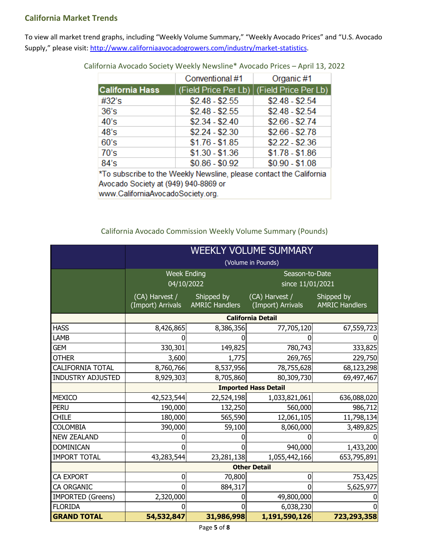# <span id="page-4-0"></span>**California Market Trends**

To view all market trend graphs, including "Weekly Volume Summary," "Weekly Avocado Prices" and "U.S. Avocado Supply," please visit[: http://www.californiaavocadogrowers.com/industry/market-statistics.](http://www.californiaavocadogrowers.com/industry/market-statistics)

|                                                                                                                | Conventional #1 | Organic #1                                  |  |  |  |
|----------------------------------------------------------------------------------------------------------------|-----------------|---------------------------------------------|--|--|--|
| <b>California Hass</b>                                                                                         |                 | (Field Price Per Lb)   (Field Price Per Lb) |  |  |  |
| #32's                                                                                                          | $$2.48 - $2.55$ | $$2.48 - $2.54$                             |  |  |  |
| 36's                                                                                                           | $$2.48 - $2.55$ | $$2.48 - $2.54$                             |  |  |  |
| 40's                                                                                                           | $$2.34 - $2.40$ | $$2.66 - $2.74$                             |  |  |  |
| 48's                                                                                                           | $$2.24 - $2.30$ | $$2.66 - $2.78$                             |  |  |  |
| 60's                                                                                                           | $$1.76 - $1.85$ | $$2.22 - $2.36$                             |  |  |  |
| 70's                                                                                                           | $$1.30 - $1.36$ | $$1.78 - $1.86$                             |  |  |  |
| 84's                                                                                                           | $$0.86 - $0.92$ | $$0.90 - $1.08$                             |  |  |  |
| *To subscribe to the Weekly Newsline, please contact the California<br>$A$ uscade Secietu at (040) 040.0000 er |                 |                                             |  |  |  |

California Avocado Society Weekly Newsline\* Avocado Prices – April 13, 2022

Avocado Society at (949) 940-8869 or www.CaliforniaAvocadoSociety.org.

California Avocado Commission Weekly Volume Summary (Pounds)

|                          | WEEKLY VOLUME SUMMARY               |                                     |                                     |                                     |  |
|--------------------------|-------------------------------------|-------------------------------------|-------------------------------------|-------------------------------------|--|
|                          | (Volume in Pounds)                  |                                     |                                     |                                     |  |
|                          | <b>Week Ending</b><br>04/10/2022    |                                     | Season-to-Date<br>since 11/01/2021  |                                     |  |
|                          | (CA) Harvest /<br>(Import) Arrivals | Shipped by<br><b>AMRIC Handlers</b> | (CA) Harvest /<br>(Import) Arrivals | Shipped by<br><b>AMRIC Handlers</b> |  |
|                          | <b>California Detail</b>            |                                     |                                     |                                     |  |
| <b>HASS</b>              | 8,426,865                           | 8,386,356                           | 77,705,120                          | 67,559,723                          |  |
| LAMB                     |                                     |                                     |                                     |                                     |  |
| <b>GEM</b>               | 330,301                             | 149,825                             | 780,743                             | 333,825                             |  |
| <b>OTHER</b>             | 3,600                               | 1,775                               | 269,765                             | 229,750                             |  |
| <b>CALIFORNIA TOTAL</b>  | 8,760,766                           | 8,537,956                           | 78,755,628                          | 68,123,298                          |  |
| <b>INDUSTRY ADJUSTED</b> | 8,929,303                           | 8,705,860                           | 80,309,730                          | 69,497,467                          |  |
|                          | <b>Imported Hass Detail</b>         |                                     |                                     |                                     |  |
| <b>MEXICO</b>            | 42,523,544                          | 22,524,198                          | 1,033,821,061                       | 636,088,020                         |  |
| <b>PERU</b>              | 190,000                             | 132,250                             | 560,000                             | 986,712                             |  |
| <b>CHILE</b>             | 180,000                             | 565,590                             | 12,061,105                          | 11,798,134                          |  |
| <b>COLOMBIA</b>          | 390,000                             | 59,100                              | 8,060,000                           | 3,489,825                           |  |
| <b>NEW ZEALAND</b>       |                                     |                                     |                                     |                                     |  |
| <b>DOMINICAN</b>         | 0                                   |                                     | 940,000                             | 1,433,200                           |  |
| <b>IMPORT TOTAL</b>      | 43,283,544                          | 23,281,138                          | 1,055,442,166                       | 653,795,891                         |  |
|                          | <b>Other Detail</b>                 |                                     |                                     |                                     |  |
| <b>CA EXPORT</b>         | 0                                   | 70,800                              | 0                                   | 753,425                             |  |
| CA ORGANIC               | 0                                   | 884,317                             |                                     | 5,625,977                           |  |
| <b>IMPORTED (Greens)</b> | 2,320,000                           | 0                                   | 49,800,000                          |                                     |  |
| <b>FLORIDA</b>           |                                     |                                     | 6,038,230                           |                                     |  |
| <b>GRAND TOTAL</b>       | 54,532,847                          | 31,986,998                          | 1,191,590,126                       | 723,293,358                         |  |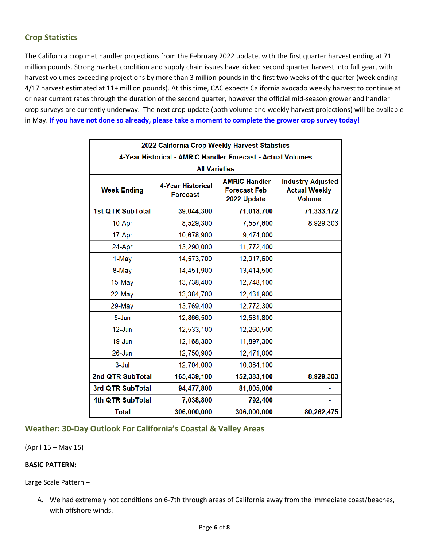# <span id="page-5-0"></span>**Crop Statistics**

The California crop met handler projections from the February 2022 update, with the first quarter harvest ending at 71 million pounds. Strong market condition and supply chain issues have kicked second quarter harvest into full gear, with harvest volumes exceeding projections by more than 3 million pounds in the first two weeks of the quarter (week ending 4/17 harvest estimated at 11+ million pounds). At this time, CAC expects California avocado weekly harvest to continue at or near current rates through the duration of the second quarter, however the official mid-season grower and handler crop surveys are currently underway. The next crop update (both volume and weekly harvest projections) will be available in May. **[If you have not done so already, please take a moment to complete the](https://www.californiaavocadogrowers.com/articles/growers-encouraged-complete-brief-annual-crop-survey-critical-predicting-fruits-flow) grower crop survey today!**

| 2022 California Crop Weekly Harvest Statistics              |                                             |                                                            |                                                                   |  |  |  |
|-------------------------------------------------------------|---------------------------------------------|------------------------------------------------------------|-------------------------------------------------------------------|--|--|--|
| 4-Year Historical - AMRIC Handler Forecast - Actual Volumes |                                             |                                                            |                                                                   |  |  |  |
| <b>All Varieties</b>                                        |                                             |                                                            |                                                                   |  |  |  |
| <b>Week Ending</b>                                          | <b>4-Year Historical</b><br><b>Forecast</b> | <b>AMRIC Handler</b><br><b>Forecast Feb</b><br>2022 Update | <b>Industry Adjusted</b><br><b>Actual Weekly</b><br><b>Volume</b> |  |  |  |
| 1st QTR SubTotal                                            | 39,044,300                                  | 71,018,700                                                 | 71,333,172                                                        |  |  |  |
| 10-Apr                                                      | 8,529,300                                   | 7,557,600                                                  | 8,929,303                                                         |  |  |  |
| 17-Apr                                                      | 10,678,900                                  | 9,474,000                                                  |                                                                   |  |  |  |
| 24-Apr                                                      | 13,290,000                                  | 11,772,400                                                 |                                                                   |  |  |  |
| 1-May                                                       | 14,573,700                                  | 12,917,600                                                 |                                                                   |  |  |  |
| 8-May                                                       | 14,451,900                                  | 13,414,500                                                 |                                                                   |  |  |  |
| 15-May                                                      | 13,738,400                                  | 12,748,100                                                 |                                                                   |  |  |  |
| 22-May                                                      | 13,384,700                                  | 12,431,900                                                 |                                                                   |  |  |  |
| 29-May                                                      | 13,769,400                                  | 12,772,300                                                 |                                                                   |  |  |  |
| $5 - Jun$                                                   | 12,866,500                                  | 12,581,800                                                 |                                                                   |  |  |  |
| $12$ -Jun                                                   | 12,533,100                                  | 12,260,500                                                 |                                                                   |  |  |  |
| 19-Jun                                                      | 12,168,300                                  | 11,897,300                                                 |                                                                   |  |  |  |
| $26 - Jun$                                                  | 12,750,900                                  | 12,471,000                                                 |                                                                   |  |  |  |
| $3 -$ Jul                                                   | 12,704,000                                  | 10,084,100                                                 |                                                                   |  |  |  |
| 2nd QTR SubTotal                                            | 165,439,100                                 | 152,383,100                                                | 8,929,303                                                         |  |  |  |
| 3rd QTR SubTotal                                            | 94,477,800                                  | 81,805,800                                                 |                                                                   |  |  |  |
| 4th QTR SubTotal                                            | 7,038,800                                   | 792,400                                                    |                                                                   |  |  |  |
| <b>Total</b>                                                | 306,000,000                                 | 306,000,000                                                | 80,262,475                                                        |  |  |  |

# <span id="page-5-1"></span>**Weather: 30-Day Outlook For California's Coastal & Valley Areas**

(April 15 – May 15)

### **BASIC PATTERN:**

Large Scale Pattern –

A. We had extremely hot conditions on 6-7th through areas of California away from the immediate coast/beaches, with offshore winds.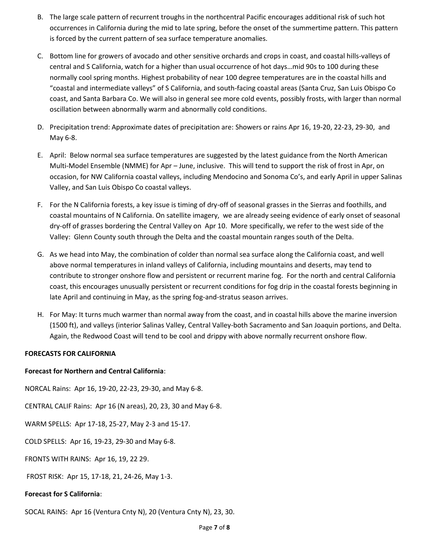- B. The large scale pattern of recurrent troughs in the northcentral Pacific encourages additional risk of such hot occurrences in California during the mid to late spring, before the onset of the summertime pattern. This pattern is forced by the current pattern of sea surface temperature anomalies.
- C. Bottom line for growers of avocado and other sensitive orchards and crops in coast, and coastal hills-valleys of central and S California, watch for a higher than usual occurrence of hot days…mid 90s to 100 during these normally cool spring months. Highest probability of near 100 degree temperatures are in the coastal hills and "coastal and intermediate valleys" of S California, and south-facing coastal areas (Santa Cruz, San Luis Obispo Co coast, and Santa Barbara Co. We will also in general see more cold events, possibly frosts, with larger than normal oscillation between abnormally warm and abnormally cold conditions.
- D. Precipitation trend: Approximate dates of precipitation are: Showers or rains Apr 16, 19-20, 22-23, 29-30, and May 6-8.
- E. April: Below normal sea surface temperatures are suggested by the latest guidance from the North American Multi-Model Ensemble (NMME) for Apr – June, inclusive. This will tend to support the risk of frost in Apr, on occasion, for NW California coastal valleys, including Mendocino and Sonoma Co's, and early April in upper Salinas Valley, and San Luis Obispo Co coastal valleys.
- F. For the N California forests, a key issue is timing of dry-off of seasonal grasses in the Sierras and foothills, and coastal mountains of N California. On satellite imagery, we are already seeing evidence of early onset of seasonal dry-off of grasses bordering the Central Valley on Apr 10. More specifically, we refer to the west side of the Valley: Glenn County south through the Delta and the coastal mountain ranges south of the Delta.
- G. As we head into May, the combination of colder than normal sea surface along the California coast, and well above normal temperatures in inland valleys of California, including mountains and deserts, may tend to contribute to stronger onshore flow and persistent or recurrent marine fog. For the north and central California coast, this encourages unusually persistent or recurrent conditions for fog drip in the coastal forests beginning in late April and continuing in May, as the spring fog-and-stratus season arrives.
- H. For May: It turns much warmer than normal away from the coast, and in coastal hills above the marine inversion (1500 ft), and valleys (interior Salinas Valley, Central Valley-both Sacramento and San Joaquin portions, and Delta. Again, the Redwood Coast will tend to be cool and drippy with above normally recurrent onshore flow.

#### **FORECASTS FOR CALIFORNIA**

#### **Forecast for Northern and Central California**:

NORCAL Rains: Apr 16, 19-20, 22-23, 29-30, and May 6-8.

CENTRAL CALIF Rains: Apr 16 (N areas), 20, 23, 30 and May 6-8.

WARM SPELLS: Apr 17-18, 25-27, May 2-3 and 15-17.

COLD SPELLS: Apr 16, 19-23, 29-30 and May 6-8.

FRONTS WITH RAINS: Apr 16, 19, 22 29.

FROST RISK: Apr 15, 17-18, 21, 24-26, May 1-3.

#### **Forecast for S California**:

SOCAL RAINS: Apr 16 (Ventura Cnty N), 20 (Ventura Cnty N), 23, 30.